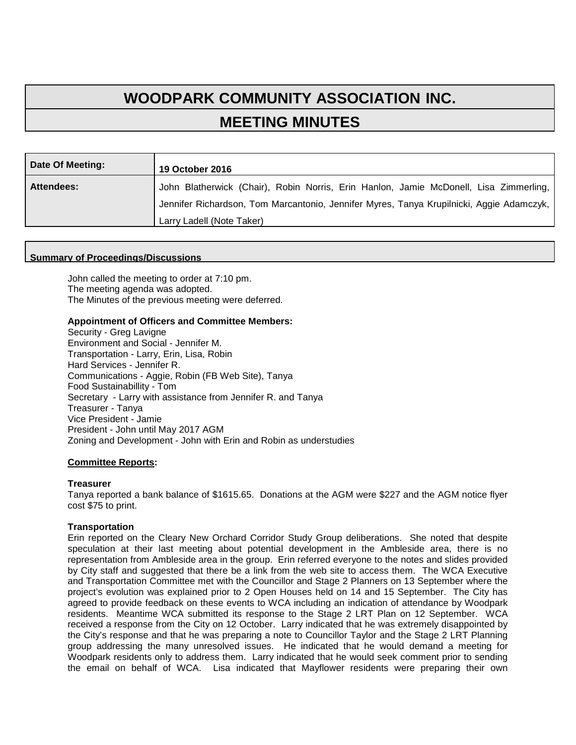# **WOODPARK COMMUNITY ASSOCIATION INC. MEETING MINUTES**

| Date Of Meeting:  | <b>19 October 2016</b>                                                                   |
|-------------------|------------------------------------------------------------------------------------------|
| <b>Attendees:</b> | John Blatherwick (Chair), Robin Norris, Erin Hanlon, Jamie McDonell, Lisa Zimmerling,    |
|                   | Jennifer Richardson, Tom Marcantonio, Jennifer Myres, Tanya Krupilnicki, Aggie Adamczyk, |
|                   | Larry Ladell (Note Taker)                                                                |

#### **Summary of Proceedings/Discussions**

John called the meeting to order at 7:10 pm. The meeting agenda was adopted. The Minutes of the previous meeting were deferred.

# **Appointment of Officers and Committee Members:**

Security - Greg Lavigne Environment and Social - Jennifer M. Transportation - Larry, Erin, Lisa, Robin Hard Services - Jennifer R. Communications - Aggie, Robin (FB Web Site), Tanya Food Sustainabillity - Tom Secretary - Larry with assistance from Jennifer R. and Tanya Treasurer - Tanya Vice President - Jamie President - John until May 2017 AGM Zoning and Development - John with Erin and Robin as understudies

# **Committee Reports:**

#### **Treasurer**

Tanya reported a bank balance of \$1615.65. Donations at the AGM were \$227 and the AGM notice flyer cost \$75 to print.

### **Transportation**

Erin reported on the Cleary New Orchard Corridor Study Group deliberations. She noted that despite speculation at their last meeting about potential development in the Ambleside area, there is no representation from Ambleside area in the group. Erin referred everyone to the notes and slides provided by City staff and suggested that there be a link from the web site to access them. The WCA Executive and Transportation Committee met with the Councillor and Stage 2 Planners on 13 September where the project's evolution was explained prior to 2 Open Houses held on 14 and 15 September. The City has agreed to provide feedback on these events to WCA including an indication of attendance by Woodpark residents. Meantime WCA submitted its response to the Stage 2 LRT Plan on 12 September. WCA received a response from the City on 12 October. Larry indicated that he was extremely disappointed by the City's response and that he was preparing a note to Councillor Taylor and the Stage 2 LRT Planning group addressing the many unresolved issues. He indicated that he would demand a meeting for Woodpark residents only to address them. Larry indicated that he would seek comment prior to sending the email on behalf of WCA. Lisa indicated that Mayflower residents were preparing their own